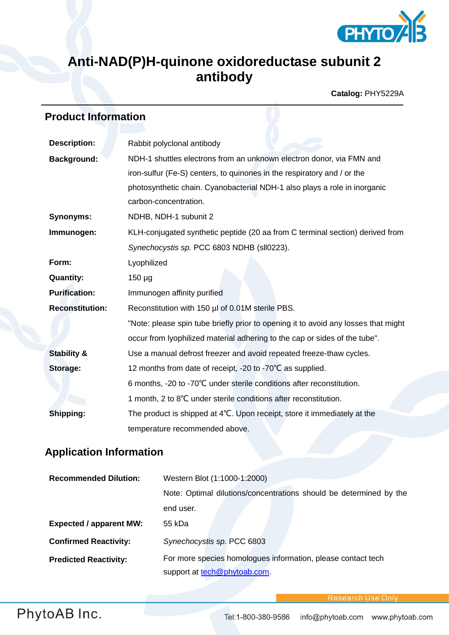

# **Anti-NAD(P)H-quinone oxidoreductase subunit 2 antibody**

**Catalog:** PHY5229A

# **Product Information**

| <b>Description:</b>    | Rabbit polyclonal antibody                                                         |
|------------------------|------------------------------------------------------------------------------------|
| <b>Background:</b>     | NDH-1 shuttles electrons from an unknown electron donor, via FMN and               |
|                        | iron-sulfur (Fe-S) centers, to quinones in the respiratory and / or the            |
|                        | photosynthetic chain. Cyanobacterial NDH-1 also plays a role in inorganic          |
|                        | carbon-concentration.                                                              |
| <b>Synonyms:</b>       | NDHB, NDH-1 subunit 2                                                              |
| Immunogen:             | KLH-conjugated synthetic peptide (20 aa from C terminal section) derived from      |
|                        | Synechocystis sp. PCC 6803 NDHB (sll0223).                                         |
| Form:                  | Lyophilized                                                                        |
| <b>Quantity:</b>       | $150 \mu g$                                                                        |
| <b>Purification:</b>   | Immunogen affinity purified                                                        |
| <b>Reconstitution:</b> | Reconstitution with 150 µl of 0.01M sterile PBS.                                   |
|                        | "Note: please spin tube briefly prior to opening it to avoid any losses that might |
|                        | occur from lyophilized material adhering to the cap or sides of the tube".         |
| <b>Stability &amp;</b> | Use a manual defrost freezer and avoid repeated freeze-thaw cycles.                |
| Storage:               | 12 months from date of receipt, -20 to -70°C as supplied.                          |
|                        | 6 months, -20 to -70°C under sterile conditions after reconstitution.              |
|                        | 1 month, 2 to 8°C under sterile conditions after reconstitution.                   |
| Shipping:              | The product is shipped at 4°C. Upon receipt, store it immediately at the           |
|                        | temperature recommended above.                                                     |

## **Application Information**

| <b>Recommended Dilution:</b>   | Western Blot (1:1000-1:2000)                                       |
|--------------------------------|--------------------------------------------------------------------|
|                                | Note: Optimal dilutions/concentrations should be determined by the |
|                                | end user.                                                          |
| <b>Expected / apparent MW:</b> | 55 kDa                                                             |
| <b>Confirmed Reactivity:</b>   | Synechocystis sp. PCC 6803                                         |
| <b>Predicted Reactivity:</b>   | For more species homologues information, please contact tech       |
|                                | support at tech@phytoab.com.                                       |

Research Use Only